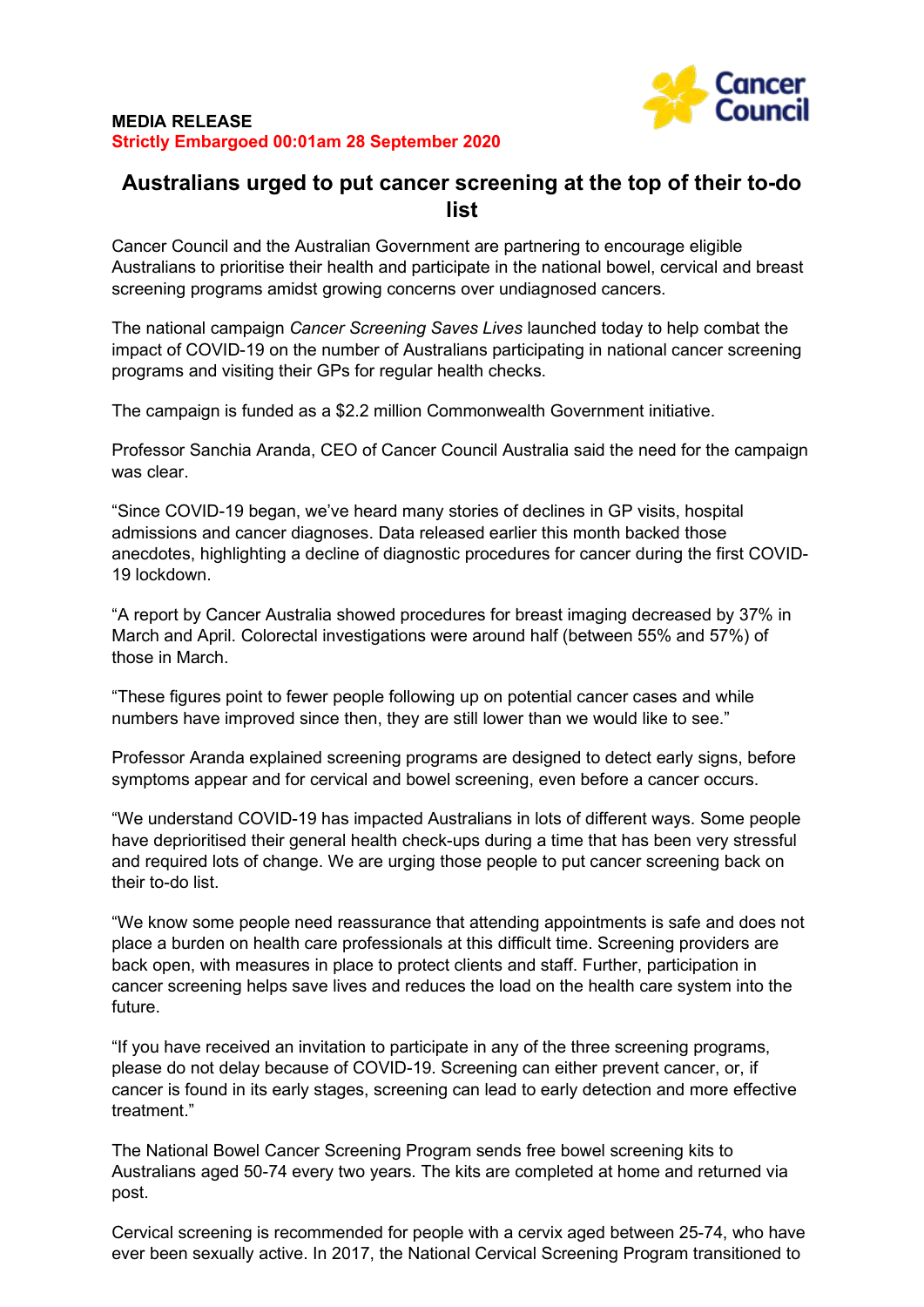

## **Australians urged to put cancer screening at the top of their to-do list**

Cancer Council and the Australian Government are partnering to encourage eligible Australians to prioritise their health and participate in the national bowel, cervical and breast screening programs amidst growing concerns over undiagnosed cancers.

The national campaign *Cancer Screening Saves Lives* launched today to help combat the impact of COVID-19 on the number of Australians participating in national cancer screening programs and visiting their GPs for regular health checks.

The campaign is funded as a \$2.2 million Commonwealth Government initiative.

Professor Sanchia Aranda, CEO of Cancer Council Australia said the need for the campaign was clear.

"Since COVID-19 began, we've heard many stories of declines in GP visits, hospital admissions and cancer diagnoses. Data released earlier this month backed those anecdotes, highlighting a decline of diagnostic procedures for cancer during the first COVID-19 lockdown.

"A report by Cancer Australia showed procedures for breast imaging decreased by 37% in March and April. Colorectal investigations were around half (between 55% and 57%) of those in March.

"These figures point to fewer people following up on potential cancer cases and while numbers have improved since then, they are still lower than we would like to see."

Professor Aranda explained screening programs are designed to detect early signs, before symptoms appear and for cervical and bowel screening, even before a cancer occurs.

"We understand COVID-19 has impacted Australians in lots of different ways. Some people have deprioritised their general health check-ups during a time that has been very stressful and required lots of change. We are urging those people to put cancer screening back on their to-do list.

"We know some people need reassurance that attending appointments is safe and does not place a burden on health care professionals at this difficult time. Screening providers are back open, with measures in place to protect clients and staff. Further, participation in cancer screening helps save lives and reduces the load on the health care system into the future.

"If you have received an invitation to participate in any of the three screening programs, please do not delay because of COVID-19. Screening can either prevent cancer, or, if cancer is found in its early stages, screening can lead to early detection and more effective treatment."

The National Bowel Cancer Screening Program sends free bowel screening kits to Australians aged 50-74 every two years. The kits are completed at home and returned via post.

Cervical screening is recommended for people with a cervix aged between 25-74, who have ever been sexually active. In 2017, the National Cervical Screening Program transitioned to